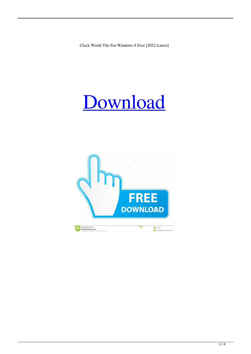Clock World Tile For Windows 8 Free [2022-Latest]

# [Download](http://evacdir.com/carpal/wrongly/ZG93bmxvYWR8OGVFTlRkemJYeDhNVFkxTkRVeU1qRXhNSHg4TWpVNE4zeDhLRTBwSUVobGNtOXJkU0JiUm1GemRDQkhSVTVk/?Q2xvY2sgV29ybGQgVGlsZSBmb3IgV2luZG93cyA4Q2x=chiller.anemias&leper=streamed)

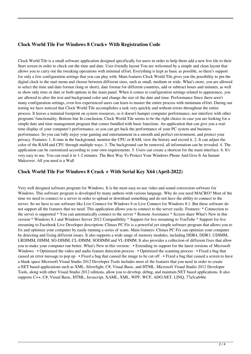#### **Clock World Tile For Windows 8 Crack+ With Registration Code**

Clock World Tile is a small software application designed specifically for users in order to help them add a new live tile to their Start screen in order to check out the time and date. User-friendly layout You are welcomed by a simple and clean layout that allows you to carry out the tweaking operations with minimal effort. Everything is kept as basic as possible, so there's support for only a few configuration settings that you can play with. Main features Clock World Tile gives you the possibility to pin the digital clock to the start menu and choose between different sizes, such as small, medium or wide. What's more, you are allowed to select the time and date format (long or short), date format for different countries, add or subtract hours and minutes, as well as show only time or date or both options in the main panel. When it comes to configuration settings related to appearance, you are allowed to alter the text and background color and change the size of the date and time. Performance Since there aren't many configuration settings, even less experienced users can learn to master the entire process with minimum effort. During our testing we have noticed that Clock World Tile accomplishes a task very quickly and without errors throughout the entire process. It leaves a minimal footprint on system resources, so it doesn't hamper computer performance, nor interfere with other programs' functionality. Bottom line In conclusion, Clock World Tile seems to be the right choice in case you are looking for a simple date and time management program that comes bundled with basic functions. An application that can give you a realtime display of your computer's performance, so you can get back the performance of your PC system and business performance. So you can fully enjoy your gaming and entertainment in a smooth and perfect environment, and protect your privacy. Features: 1. It runs in the background, monitor the CPU or RAM, view the history and record it. 2. It can adjust the color of the RAM and CPU through multiple ways. 3. The background can be removed, all information can be revealed. 4. The application can be customized according to your own requirements. 5. Users can create a shortcut for the main interface. 6. It's very easy to use. You can read it in 1-2 minutes. The Best Way To Protect Your Windows Phone And Give It An Instant Makeover. All you need is a Wall

#### **Clock World Tile For Windows 8 Crack + With Serial Key X64 (April-2022)**

Very well designed software program for Windows. It is the most easy-to-use video and sound conversion software for Windows. This software program is developed by many authors with various language. Why do you need MACRO? Most of the time we need to connect to a server in order to upload or download something and do not have the ability to connect to the server. So we have to use software like Live Connect for Windows 8 or Live Connect for Windows 8.1. But these software do not support all the features that we need. This application allows you to connect to the server easily. Features: \* Connection to the server is supported \* You can automatically connect to the server \* Remote Assistance \* Screen share What's New in this version \* Windows 8.1 and Windows Server 2012 Compatibility \* Support for live streaming to YouTube \* Support for live streaming to Facebook Live Developer description: Climax PC Fix is a powerful yet simple software program that allows you to fix and optimize your computer by easily running a series of scans. Main features: Climax PC Fix can optimize your computer by detecting and fixing different issues. It also supports a wide range of memory modules, including DDR4, DDR3, UDIMM, LRDIMM, DIMM, SO-DIMM, CL-DIMM, SODIMM and VL-DIMM. It also provides a collection of different fixes that allow you to make your computer run better. What's New in this version: · • Extending its support for the latest versions of Microsoft Windows • Optimized the video and audio feature detection process • Optimized the scanning process • Fixed a bug that caused an error message to pop up  $\cdot \cdot$  Fixed a bug that caused the image to be cut off  $\cdot \cdot$  Fixed a bug that caused a screen to have a blank space Microsoft Visual Studio 2012 Developer Tools includes most of the features that you need in order to create a.NET based applications such as XML, Silverlight, C#, Visual Basic, and HTML. Microsoft Visual Studio 2012 Developer Tools, along with other Visual Studio 2012 editions, allow you to develop, debug, and maintain.NET based applications. It also supports C++, C#, Visual Basic, HTML, Javascript, XAML, XML, WPF, WCF, ADO.NET, LINQ, 77a5ca646e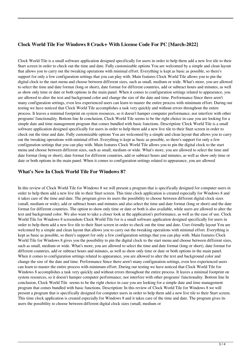## **Clock World Tile For Windows 8 Crack+ With License Code For PC [March-2022]**

Clock World Tile is a small software application designed specifically for users in order to help them add a new live tile to their Start screen in order to check out the time and date. Fully customizable options You are welcomed by a simple and clean layout that allows you to carry out the tweaking operations with minimal effort. Everything is kept as basic as possible, so there's support for only a few configuration settings that you can play with. Main features Clock World Tile allows you to pin the digital clock to the start menu and choose between different sizes, such as small, medium or wide. What's more, you are allowed to select the time and date format (long or short), date format for different countries, add or subtract hours and minutes, as well as show only time or date or both options in the main panel. When it comes to configuration settings related to appearance, you are allowed to alter the text and background color and change the size of the date and time. Performance Since there aren't many configuration settings, even less experienced users can learn to master the entire process with minimum effort. During our testing we have noticed that Clock World Tile accomplishes a task very quickly and without errors throughout the entire process. It leaves a minimal footprint on system resources, so it doesn't hamper computer performance, nor interfere with other programs' functionality. Bottom line In conclusion, Clock World Tile seems to be the right choice in case you are looking for a simple date and time management program that comes bundled with basic functions. Description: Clock World Tile is a small software application designed specifically for users in order to help them add a new live tile to their Start screen in order to check out the time and date. Fully customizable options You are welcomed by a simple and clean layout that allows you to carry out the tweaking operations with minimal effort. Everything is kept as basic as possible, so there's support for only a few configuration settings that you can play with. Main features Clock World Tile allows you to pin the digital clock to the start menu and choose between different sizes, such as small, medium or wide. What's more, you are allowed to select the time and date format (long or short), date format for different countries, add or subtract hours and minutes, as well as show only time or date or both options in the main panel. When it comes to configuration settings related to appearance, you are allowed

#### **What's New In Clock World Tile For Windows 8?**

In this review of Clock World Tile for Windows 8 we will present a program that is specifically designed for computer users in order to help them add a new live tile to their Start screen. This time clock application is created especially for Windows 8 and it takes care of the time and date. The program gives its users the possibility to choose between different digital clock sizes (small, medium or wide), add or subtract hours and minutes and also select the time and date format (long or short) and the date format for different countries. The option to show only time or date or both is also available, while users are allowed to alter the text and background color. We also want to take a closer look at the application's performance, as well as the ease of use. Clock World Tile for Windows 8 screenshots Clock World Tile for is a small software application designed specifically for users in order to help them add a new live tile to their Start screen in order to check out the time and date. User-friendly layout You are welcomed by a simple and clean layout that allows you to carry out the tweaking operations with minimal effort. Everything is kept as basic as possible, so there's support for only a few configuration settings that you can play with. Main features Clock World Tile for Windows 8 gives you the possibility to pin the digital clock to the start menu and choose between different sizes, such as small, medium or wide. What's more, you are allowed to select the time and date format (long or short), date format for different countries, add or subtract hours and minutes, as well as show only time or date or both options in the main panel. When it comes to configuration settings related to appearance, you are allowed to alter the text and background color and change the size of the date and time. Performance Since there aren't many configuration settings, even less experienced users can learn to master the entire process with minimum effort. During our testing we have noticed that Clock World Tile for Windows 8 accomplishes a task very quickly and without errors throughout the entire process. It leaves a minimal footprint on system resources, so it doesn't hamper computer performance, nor interfere with other programs' functionality. Bottom line In conclusion, Clock World Tile seems to be the right choice in case you are looking for a simple date and time management program that comes bundled with basic functions. Description: In this review of Clock World Tile for Windows 8 we will present a program that is specifically designed for computer users in order to help them add a new live tile to their Start screen. This time clock application is created especially for Windows 8 and it takes care of the time and date. The program gives its users the possibility to choose between different digital clock sizes (small, medium or